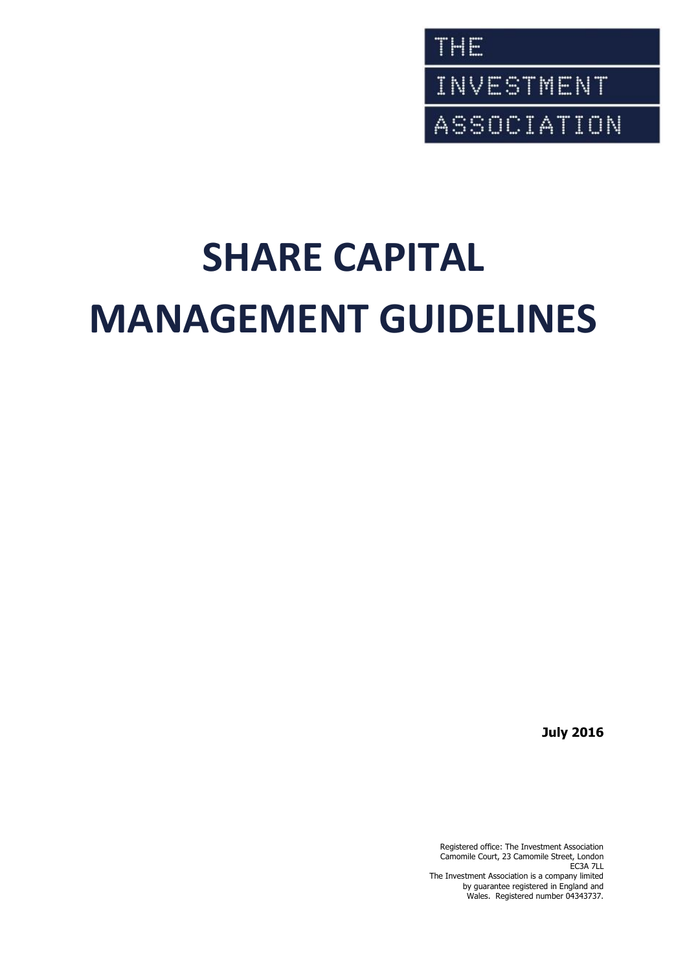

# **SHARE CAPITAL MANAGEMENT GUIDELINES**

**July 2016**

Registered office: The Investment Association Camomile Court, 23 Camomile Street, London EC3A 7LL The Investment Association is a company limited by guarantee registered in England and Wales. Registered number 04343737.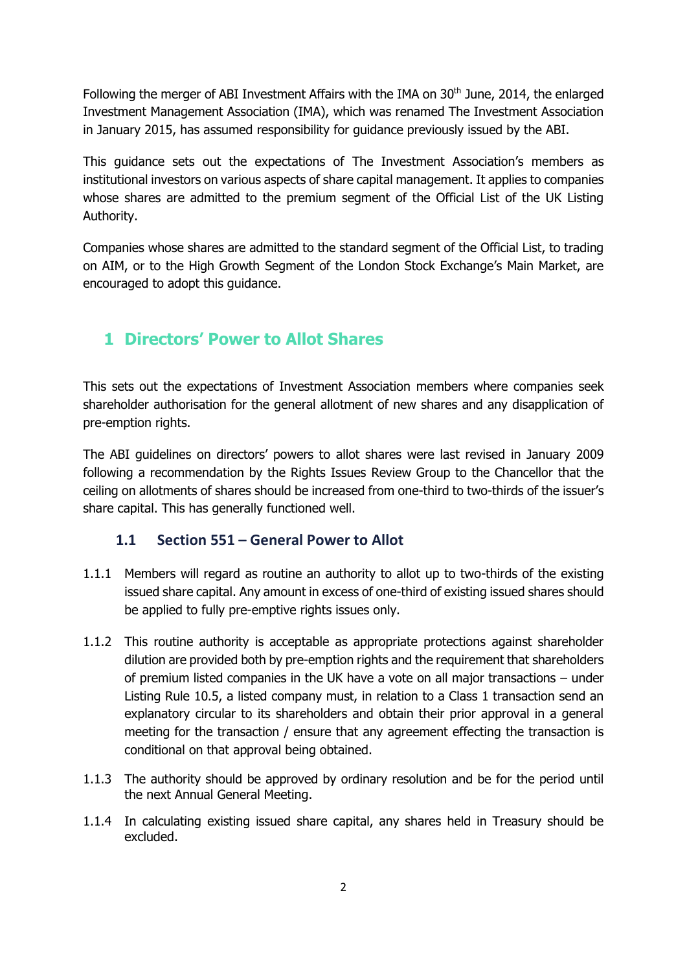Following the merger of ABI Investment Affairs with the IMA on 30<sup>th</sup> June, 2014, the enlarged Investment Management Association (IMA), which was renamed The Investment Association in January 2015, has assumed responsibility for guidance previously issued by the ABI.

This guidance sets out the expectations of The Investment Association's members as institutional investors on various aspects of share capital management. It applies to companies whose shares are admitted to the premium segment of the Official List of the UK Listing Authority.

Companies whose shares are admitted to the standard segment of the Official List, to trading on AIM, or to the High Growth Segment of the London Stock Exchange's Main Market, are encouraged to adopt this guidance.

## **1 Directors' Power to Allot Shares**

This sets out the expectations of Investment Association members where companies seek shareholder authorisation for the general allotment of new shares and any disapplication of pre-emption rights.

The ABI guidelines on directors' powers to allot shares were last revised in January 2009 following a recommendation by the Rights Issues Review Group to the Chancellor that the ceiling on allotments of shares should be increased from one-third to two-thirds of the issuer's share capital. This has generally functioned well.

#### **1.1 Section 551 – General Power to Allot**

- 1.1.1 Members will regard as routine an authority to allot up to two-thirds of the existing issued share capital. Any amount in excess of one-third of existing issued shares should be applied to fully pre-emptive rights issues only.
- 1.1.2 This routine authority is acceptable as appropriate protections against shareholder dilution are provided both by pre-emption rights and the requirement that shareholders of premium listed companies in the UK have a vote on all major transactions – under Listing Rule 10.5, a listed company must, in relation to a Class 1 transaction send an explanatory circular to its shareholders and obtain their prior approval in a general meeting for the transaction / ensure that any agreement effecting the transaction is conditional on that approval being obtained.
- 1.1.3 The authority should be approved by ordinary resolution and be for the period until the next Annual General Meeting.
- 1.1.4 In calculating existing issued share capital, any shares held in Treasury should be excluded.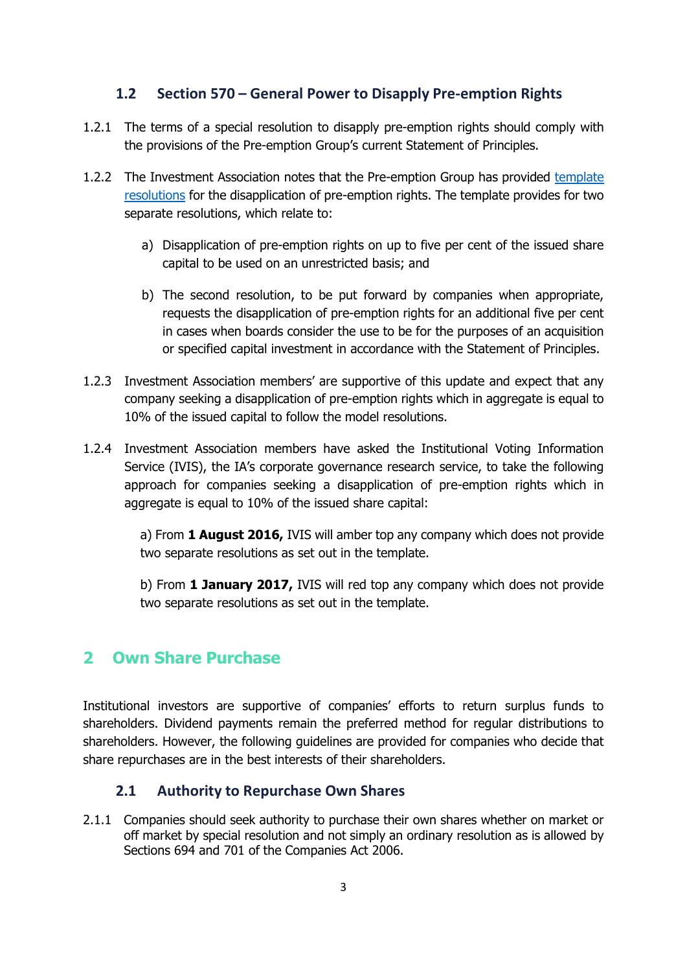#### **1.2 Section 570 – General Power to Disapply Pre-emption Rights**

- 1.2.1 The terms of a special resolution to disapply pre-emption rights should comply with the provisions of the Pre-emption Group's current Statement of Principles.
- 1.2.2 The Investment Association notes that the Pre-emption Group has provided [template](http://www.pre-emptiongroup.org.uk/getmedia/963da194-742f-45b2-84d9-d1ee83b786bb/PEG-Template-resolution-for-disapplication-of-pre-emption-rights.pdf.aspx)  [resolutions](http://www.pre-emptiongroup.org.uk/getmedia/963da194-742f-45b2-84d9-d1ee83b786bb/PEG-Template-resolution-for-disapplication-of-pre-emption-rights.pdf.aspx) for the disapplication of pre-emption rights. The template provides for two separate resolutions, which relate to:
	- a) Disapplication of pre-emption rights on up to five per cent of the issued share capital to be used on an unrestricted basis; and
	- b) The second resolution, to be put forward by companies when appropriate, requests the disapplication of pre-emption rights for an additional five per cent in cases when boards consider the use to be for the purposes of an acquisition or specified capital investment in accordance with the Statement of Principles.
- 1.2.3 Investment Association members' are supportive of this update and expect that any company seeking a disapplication of pre-emption rights which in aggregate is equal to 10% of the issued capital to follow the model resolutions.
- 1.2.4 Investment Association members have asked the Institutional Voting Information Service (IVIS), the IA's corporate governance research service, to take the following approach for companies seeking a disapplication of pre-emption rights which in aggregate is equal to 10% of the issued share capital:

a) From **1 August 2016,** IVIS will amber top any company which does not provide two separate resolutions as set out in the template.

b) From **1 January 2017,** IVIS will red top any company which does not provide two separate resolutions as set out in the template.

## **2 Own Share Purchase**

Institutional investors are supportive of companies' efforts to return surplus funds to shareholders. Dividend payments remain the preferred method for regular distributions to shareholders. However, the following guidelines are provided for companies who decide that share repurchases are in the best interests of their shareholders.

#### **2.1 Authority to Repurchase Own Shares**

2.1.1 Companies should seek authority to purchase their own shares whether on market or off market by special resolution and not simply an ordinary resolution as is allowed by Sections 694 and 701 of the Companies Act 2006.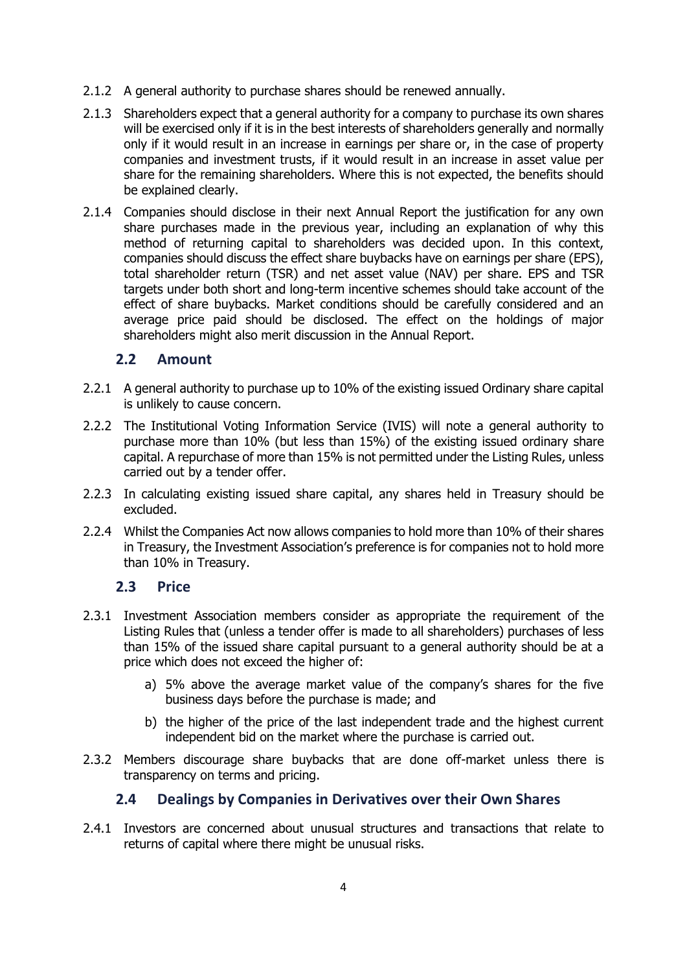- 2.1.2 A general authority to purchase shares should be renewed annually.
- 2.1.3 Shareholders expect that a general authority for a company to purchase its own shares will be exercised only if it is in the best interests of shareholders generally and normally only if it would result in an increase in earnings per share or, in the case of property companies and investment trusts, if it would result in an increase in asset value per share for the remaining shareholders. Where this is not expected, the benefits should be explained clearly.
- 2.1.4 Companies should disclose in their next Annual Report the justification for any own share purchases made in the previous year, including an explanation of why this method of returning capital to shareholders was decided upon. In this context, companies should discuss the effect share buybacks have on earnings per share (EPS), total shareholder return (TSR) and net asset value (NAV) per share. EPS and TSR targets under both short and long-term incentive schemes should take account of the effect of share buybacks. Market conditions should be carefully considered and an average price paid should be disclosed. The effect on the holdings of major shareholders might also merit discussion in the Annual Report.

#### **2.2 Amount**

- 2.2.1 A general authority to purchase up to 10% of the existing issued Ordinary share capital is unlikely to cause concern.
- 2.2.2 The Institutional Voting Information Service (IVIS) will note a general authority to purchase more than 10% (but less than 15%) of the existing issued ordinary share capital. A repurchase of more than 15% is not permitted under the Listing Rules, unless carried out by a tender offer.
- 2.2.3 In calculating existing issued share capital, any shares held in Treasury should be excluded.
- 2.2.4 Whilst the Companies Act now allows companies to hold more than 10% of their shares in Treasury, the Investment Association's preference is for companies not to hold more than 10% in Treasury.

#### **2.3 Price**

- 2.3.1 Investment Association members consider as appropriate the requirement of the Listing Rules that (unless a tender offer is made to all shareholders) purchases of less than 15% of the issued share capital pursuant to a general authority should be at a price which does not exceed the higher of:
	- a) 5% above the average market value of the company's shares for the five business days before the purchase is made; and
	- b) the higher of the price of the last independent trade and the highest current independent bid on the market where the purchase is carried out.
- 2.3.2 Members discourage share buybacks that are done off-market unless there is transparency on terms and pricing.

#### **2.4 Dealings by Companies in Derivatives over their Own Shares**

2.4.1 Investors are concerned about unusual structures and transactions that relate to returns of capital where there might be unusual risks.